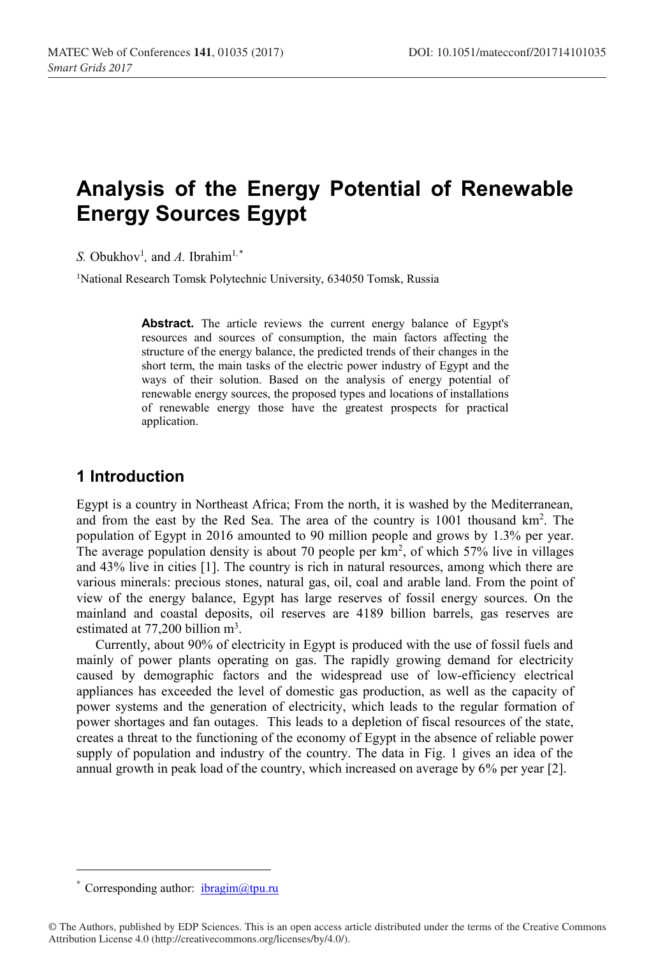# **Analysis of the Energy Potential of Renewable Energy Sources Egypt**

*S.* Obukhov<sup>1</sup>, and *A*. Ibrahim<sup>1,\*</sup>

<sup>1</sup>National Research Tomsk Polytechnic University, 634050 Tomsk, Russia

Abstract. The article reviews the current energy balance of Egypt's resources and sources of consumption, the main factors affecting the structure of the energy balance, the predicted trends of their changes in the short term, the main tasks of the electric power industry of Egypt and the ways of their solution. Based on the analysis of energy potential of renewable energy sources, the proposed types and locations of installations of renewable energy those have the greatest prospects for practical application.

#### **1 Introduction**

Egypt is a country in Northeast Africa; From the north, it is washed by the Mediterranean, and from the east by the Red Sea. The area of the country is  $1001$  thousand  $km^2$ . The population of Egypt in 2016 amounted to 90 million people and grows by 1.3% per year. The average population density is about 70 people per  $km<sup>2</sup>$ , of which 57% live in villages and 43% live in cities [1]. The country is rich in natural resources, among which there are various minerals: precious stones, natural gas, oil, coal and arable land. From the point of view of the energy balance, Egypt has large reserves of fossil energy sources. On the mainland and coastal deposits, oil reserves are 4189 billion barrels, gas reserves are estimated at 77,200 billion m<sup>3</sup>.

Currently, about 90% of electricity in Egypt is produced with the use of fossil fuels and mainly of power plants operating on gas. The rapidly growing demand for electricity caused by demographic factors and the widespread use of low-efficiency electrical appliances has exceeded the level of domestic gas production, as well as the capacity of power systems and the generation of electricity, which leads to the regular formation of power shortages and fan outages. This leads to a depletion of fiscal resources of the state, creates a threat to the functioning of the economy of Egypt in the absence of reliable power supply of population and industry of the country. The data in Fig. 1 gives an idea of the annual growth in peak load of the country, which increased on average by 6% per year [2].

 $\overline{a}$ 

Corresponding author:  $ibragim@tpu.ru$ 

<sup>©</sup> The Authors, published by EDP Sciences. This is an open access article distributed under the terms of the Creative Commons Attribution License 4.0 (http://creativecommons.org/licenses/by/4.0/).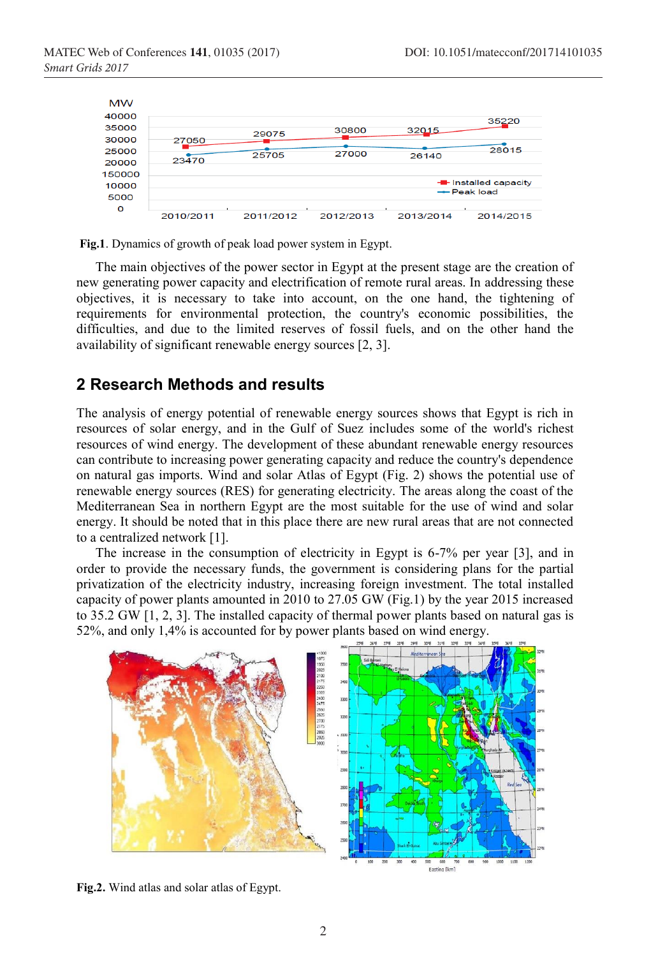

**Fig.1**. Dynamics of growth of peak load power system in Egypt.

The main objectives of the power sector in Egypt at the present stage are the creation of new generating power capacity and electrification of remote rural areas. In addressing these objectives, it is necessary to take into account, on the one hand, the tightening of requirements for environmental protection, the country's economic possibilities, the difficulties, and due to the limited reserves of fossil fuels, and on the other hand the availability of significant renewable energy sources [2, 3].

#### **2 Research Methods and results**

The analysis of energy potential of renewable energy sources shows that Egypt is rich in resources of solar energy, and in the Gulf of Suez includes some of the world's richest resources of wind energy. The development of these abundant renewable energy resources can contribute to increasing power generating capacity and reduce the country's dependence on natural gas imports. Wind and solar Atlas of Egypt (Fig. 2) shows the potential use of renewable energy sources (RES) for generating electricity. The areas along the coast of the Mediterranean Sea in northern Egypt are the most suitable for the use of wind and solar energy. It should be noted that in this place there are new rural areas that are not connected to a centralized network [1].

The increase in the consumption of electricity in Egypt is 6-7% per year [3], and in order to provide the necessary funds, the government is considering plans for the partial privatization of the electricity industry, increasing foreign investment. The total installed capacity of power plants amounted in 2010 to 27.05 GW (Fig.1) by the year 2015 increased to 35.2 GW [1, 2, 3]. The installed capacity of thermal power plants based on natural gas is 52%, and only 1,4% is accounted for by power plants based on wind energy.



**Fig.2.** Wind atlas and solar atlas of Egypt.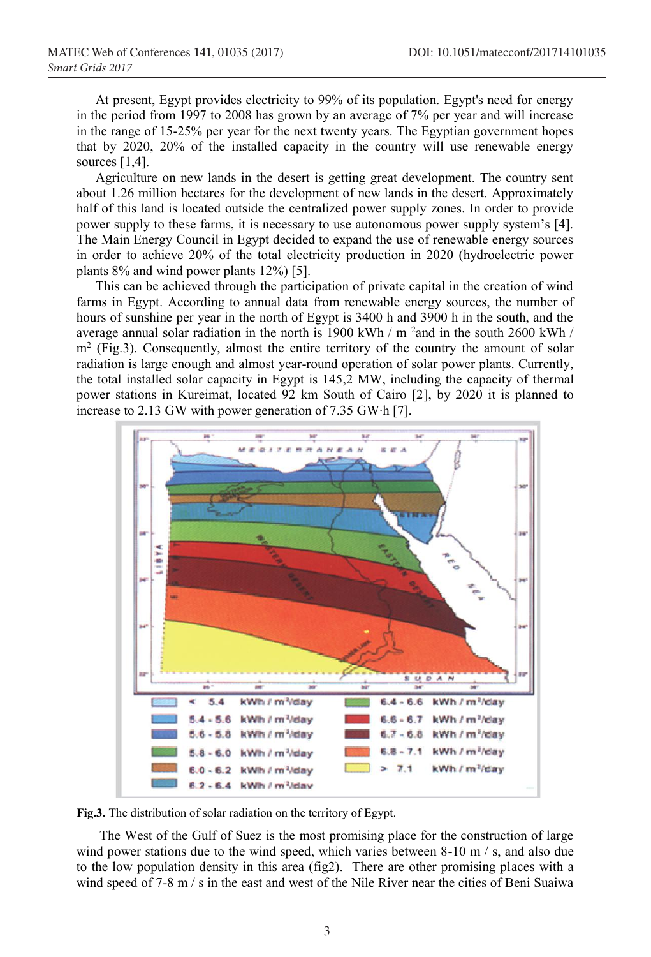At present, Egypt provides electricity to 99% of its population. Egypt's need for energy in the period from 1997 to 2008 has grown by an average of 7% per year and will increase in the range of 15-25% per year for the next twenty years. The Egyptian government hopes that by 2020, 20% of the installed capacity in the country will use renewable energy sources [1,4].

Agriculture on new lands in the desert is getting great development. The country sent about 1.26 million hectares for the development of new lands in the desert. Approximately half of this land is located outside the centralized power supply zones. In order to provide power supply to these farms, it is necessary to use autonomous power supply system's [4]. The Main Energy Council in Egypt decided to expand the use of renewable energy sources in order to achieve 20% of the total electricity production in 2020 (hydroelectric power plants 8% and wind power plants 12%) [5].

This can be achieved through the participation of private capital in the creation of wind farms in Egypt. According to annual data from renewable energy sources, the number of hours of sunshine per year in the north of Egypt is 3400 h and 3900 h in the south, and the average annual solar radiation in the north is 1900 kWh / m <sup>2</sup> and in the south 2600 kWh /  $m<sup>2</sup>$  (Fig.3). Consequently, almost the entire territory of the country the amount of solar radiation is large enough and almost year-round operation of solar power plants. Currently, the total installed solar capacity in Egypt is 145,2 MW, including the capacity of thermal power stations in Kureimat, located 92 km South of Cairo [2], by 2020 it is planned to increase to 2.13 GW with power generation of 7.35 GW∙h [7].



**Fig.3.** The distribution of solar radiation on the territory of Egypt.

The West of the Gulf of Suez is the most promising place for the construction of large wind power stations due to the wind speed, which varies between 8-10 m / s, and also due to the low population density in this area (fig2). There are other promising places with a wind speed of 7-8 m / s in the east and west of the Nile River near the cities of Beni Suaiwa